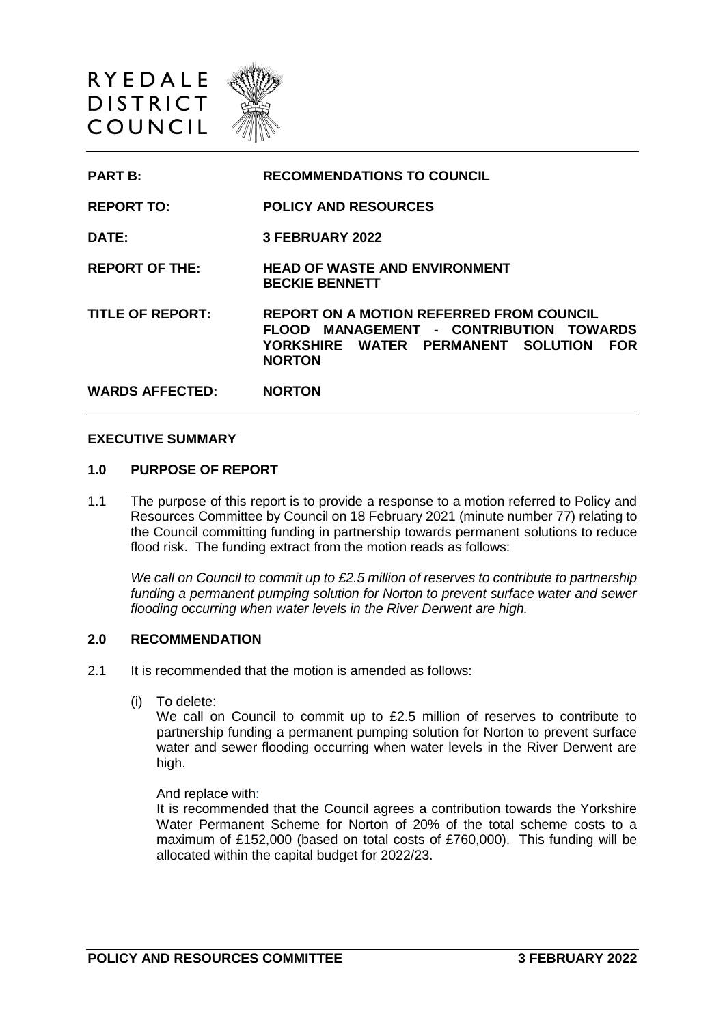

| <b>PART B:</b>          | <b>RECOMMENDATIONS TO COUNCIL</b>                                                                                                                               |
|-------------------------|-----------------------------------------------------------------------------------------------------------------------------------------------------------------|
| <b>REPORT TO:</b>       | <b>POLICY AND RESOURCES</b>                                                                                                                                     |
| DATE:                   | 3 FEBRUARY 2022                                                                                                                                                 |
| <b>REPORT OF THE:</b>   | <b>HEAD OF WASTE AND ENVIRONMENT</b><br><b>BECKIE BENNETT</b>                                                                                                   |
| <b>TITLE OF REPORT:</b> | <b>REPORT ON A MOTION REFERRED FROM COUNCIL</b><br>FLOOD MANAGEMENT - CONTRIBUTION TOWARDS<br>YORKSHIRE WATER PERMANENT SOLUTION<br><b>FOR</b><br><b>NORTON</b> |
| <b>WARDS AFFECTED:</b>  | <b>NORTON</b>                                                                                                                                                   |

### **EXECUTIVE SUMMARY**

#### **1.0 PURPOSE OF REPORT**

1.1 The purpose of this report is to provide a response to a motion referred to Policy and Resources Committee by Council on 18 February 2021 (minute number 77) relating to the Council committing funding in partnership towards permanent solutions to reduce flood risk. The funding extract from the motion reads as follows:

*We call on Council to commit up to £2.5 million of reserves to contribute to partnership funding a permanent pumping solution for Norton to prevent surface water and sewer flooding occurring when water levels in the River Derwent are high.* 

## **2.0 RECOMMENDATION**

- 2.1 It is recommended that the motion is amended as follows:
	- (i) To delete:

We call on Council to commit up to £2.5 million of reserves to contribute to partnership funding a permanent pumping solution for Norton to prevent surface water and sewer flooding occurring when water levels in the River Derwent are high.

And replace with:

It is recommended that the Council agrees a contribution towards the Yorkshire Water Permanent Scheme for Norton of 20% of the total scheme costs to a maximum of £152,000 (based on total costs of £760,000). This funding will be allocated within the capital budget for 2022/23.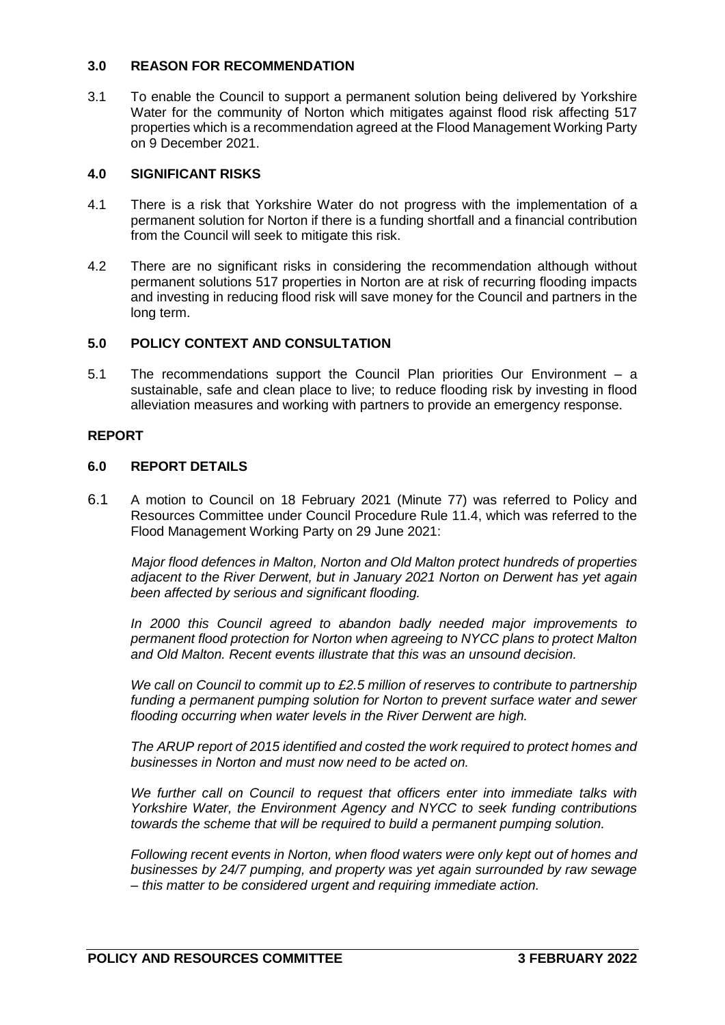### **3.0 REASON FOR RECOMMENDATION**

3.1 To enable the Council to support a permanent solution being delivered by Yorkshire Water for the community of Norton which mitigates against flood risk affecting 517 properties which is a recommendation agreed at the Flood Management Working Party on 9 December 2021.

## **4.0 SIGNIFICANT RISKS**

- 4.1 There is a risk that Yorkshire Water do not progress with the implementation of a permanent solution for Norton if there is a funding shortfall and a financial contribution from the Council will seek to mitigate this risk.
- 4.2 There are no significant risks in considering the recommendation although without permanent solutions 517 properties in Norton are at risk of recurring flooding impacts and investing in reducing flood risk will save money for the Council and partners in the long term.

# **5.0 POLICY CONTEXT AND CONSULTATION**

5.1 The recommendations support the Council Plan priorities Our Environment – a sustainable, safe and clean place to live; to reduce flooding risk by investing in flood alleviation measures and working with partners to provide an emergency response.

## **REPORT**

## **6.0 REPORT DETAILS**

6.1 A motion to Council on 18 February 2021 (Minute 77) was referred to Policy and Resources Committee under Council Procedure Rule 11.4, which was referred to the Flood Management Working Party on 29 June 2021:

*Major flood defences in Malton, Norton and Old Malton protect hundreds of properties adjacent to the River Derwent, but in January 2021 Norton on Derwent has yet again been affected by serious and significant flooding.*

*In 2000 this Council agreed to abandon badly needed major improvements to permanent flood protection for Norton when agreeing to NYCC plans to protect Malton and Old Malton. Recent events illustrate that this was an unsound decision.*

*We call on Council to commit up to £2.5 million of reserves to contribute to partnership funding a permanent pumping solution for Norton to prevent surface water and sewer flooding occurring when water levels in the River Derwent are high.* 

*The ARUP report of 2015 identified and costed the work required to protect homes and businesses in Norton and must now need to be acted on.*

*We further call on Council to request that officers enter into immediate talks with Yorkshire Water, the Environment Agency and NYCC to seek funding contributions towards the scheme that will be required to build a permanent pumping solution.* 

*Following recent events in Norton, when flood waters were only kept out of homes and businesses by 24/7 pumping, and property was yet again surrounded by raw sewage – this matter to be considered urgent and requiring immediate action.*